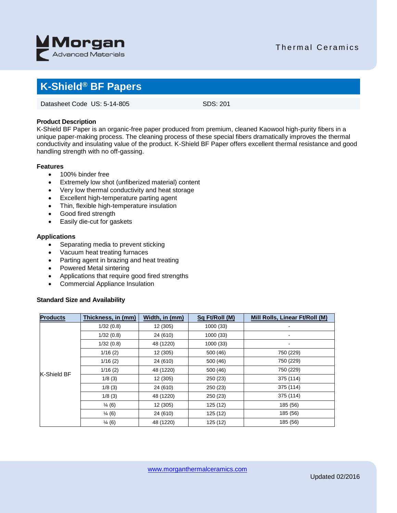

## Thermal Ceramics

## **K-Shield® BF Papers**

Datasheet Code US: 5-14-805 SDS: 201

#### **Product Description**

K-Shield BF Paper is an organic-free paper produced from premium, cleaned Kaowool high-purity fibers in a unique paper-making process. The cleaning process of these special fibers dramatically improves the thermal conductivity and insulating value of the product. K-Shield BF Paper offers excellent thermal resistance and good handling strength with no off-gassing.

#### **Features**

- 100% binder free
- Extremely low shot (unfiberized material) content
- Very low thermal conductivity and heat storage
- Excellent high-temperature parting agent
- Thin, flexible high-temperature insulation
- Good fired strength
- Easily die-cut for gaskets

#### **Applications**

- Separating media to prevent sticking
- Vacuum heat treating furnaces
- Parting agent in brazing and heat treating
- Powered Metal sintering
- Applications that require good fired strengths
- Commercial Appliance Insulation

#### **Standard Size and Availability**

| <b>Products</b> | Thickness, in (mm) | Width, in (mm) | Sq Ft/Roll (M) | Mill Rolls, Linear Ft/Roll (M) |
|-----------------|--------------------|----------------|----------------|--------------------------------|
| K-Shield BF     | 1/32(0.8)          | 12 (305)       | 1000 (33)      |                                |
|                 | 1/32(0.8)          | 24 (610)       | 1000(33)       |                                |
|                 | 1/32(0.8)          | 48 (1220)      | 1000 (33)      | $\qquad \qquad \blacksquare$   |
|                 | 1/16(2)            | 12 (305)       | 500 (46)       | 750 (229)                      |
|                 | 1/16(2)            | 24 (610)       | 500 (46)       | 750 (229)                      |
|                 | 1/16(2)            | 48 (1220)      | 500 (46)       | 750 (229)                      |
|                 | 1/8(3)             | 12 (305)       | 250 (23)       | 375 (114)                      |
|                 | 1/8(3)             | 24 (610)       | 250 (23)       | 375 (114)                      |
|                 | 1/8(3)             | 48 (1220)      | 250 (23)       | 375 (114)                      |
|                 | $\frac{1}{4}$ (6)  | 12 (305)       | 125 (12)       | 185 (56)                       |
|                 | $\frac{1}{4}$ (6)  | 24 (610)       | 125 (12)       | 185 (56)                       |
|                 | $\frac{1}{4}$ (6)  | 48 (1220)      | 125 (12)       | 185 (56)                       |